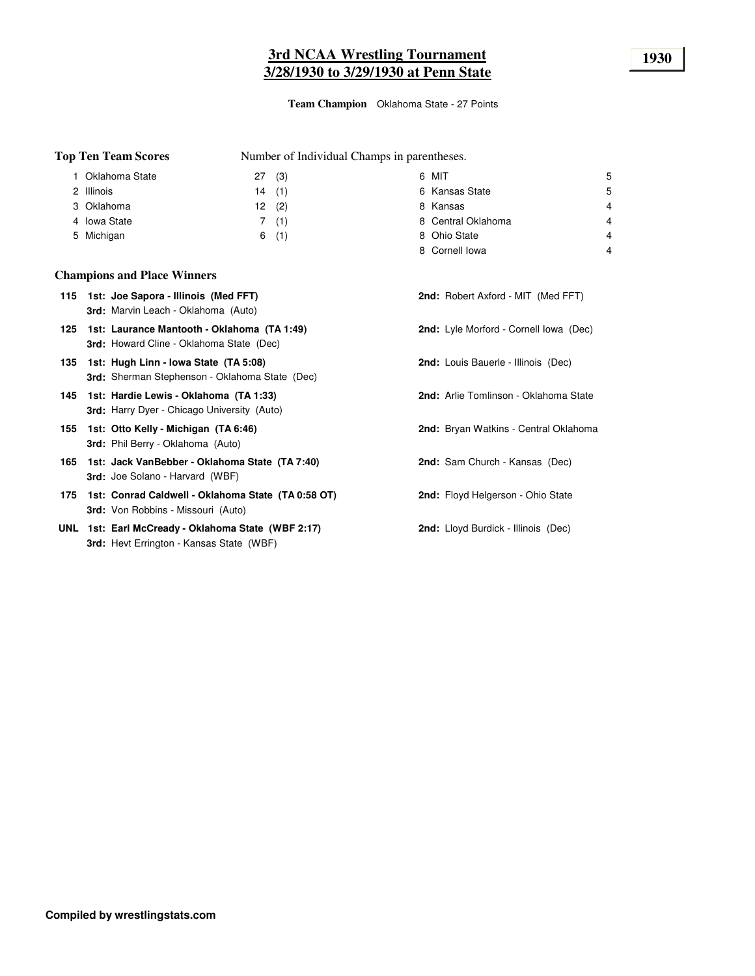# **3rd NCAA Wrestling Tournament 1930 3/28/1930 to 3/29/1930 at Penn State**

**Team Champion** Oklahoma State - 27 Points

Number of Individual Champs in parentheses.

| Oklahoma State | (3)<br>27 | 6 MIT              | 5 |
|----------------|-----------|--------------------|---|
| 2 Illinois     | (1)<br>14 | 6 Kansas State     | 5 |
| 3 Oklahoma     | (2)<br>12 | 8 Kansas           | 4 |
| 4 Iowa State   | (1)       | 8 Central Oklahoma | 4 |
| 5 Michigan     | (1)<br>6  | 8 Ohio State       | 4 |
|                |           | 8 Cornell Iowa     | 4 |

### **Champions and Place Winners**

**Top Ten Team Scores**

|  | 115 1st: Joe Sapora - Illinois (Med FFT)<br><b>3rd:</b> Marvin Leach - Oklahoma (Auto)                | <b>2nd:</b> Robert Axford - MIT (Med FFT)  |
|--|-------------------------------------------------------------------------------------------------------|--------------------------------------------|
|  | 125 1st: Laurance Mantooth - Oklahoma (TA 1:49)<br><b>3rd:</b> Howard Cline - Oklahoma State (Dec)    | 2nd: Lyle Morford - Cornell Iowa (Dec)     |
|  | 135 1st: Hugh Linn - Iowa State (TA 5:08)<br><b>3rd:</b> Sherman Stephenson - Oklahoma State (Dec)    | <b>2nd:</b> Louis Bauerle - Illinois (Dec) |
|  | 145 1st: Hardie Lewis - Oklahoma (TA 1:33)<br><b>3rd:</b> Harry Dyer - Chicago University (Auto)      | 2nd: Arlie Tomlinson - Oklahoma State      |
|  | 155 1st: Otto Kelly - Michigan (TA 6:46)<br><b>3rd:</b> Phil Berry - Oklahoma (Auto)                  | 2nd: Bryan Watkins - Central Oklahoma      |
|  | 165 1st: Jack VanBebber - Oklahoma State (TA 7:40)<br><b>3rd:</b> Joe Solano - Harvard (WBF)          | <b>2nd:</b> Sam Church - Kansas (Dec)      |
|  | 175 1st: Conrad Caldwell - Oklahoma State (TA 0:58 OT)<br><b>3rd:</b> Von Robbins - Missouri (Auto)   | 2nd: Floyd Helgerson - Ohio State          |
|  | UNL 1st: Earl McCready - Oklahoma State (WBF 2:17)<br><b>3rd:</b> Hevt Errington - Kansas State (WBF) | <b>2nd:</b> Lloyd Burdick - Illinois (Dec) |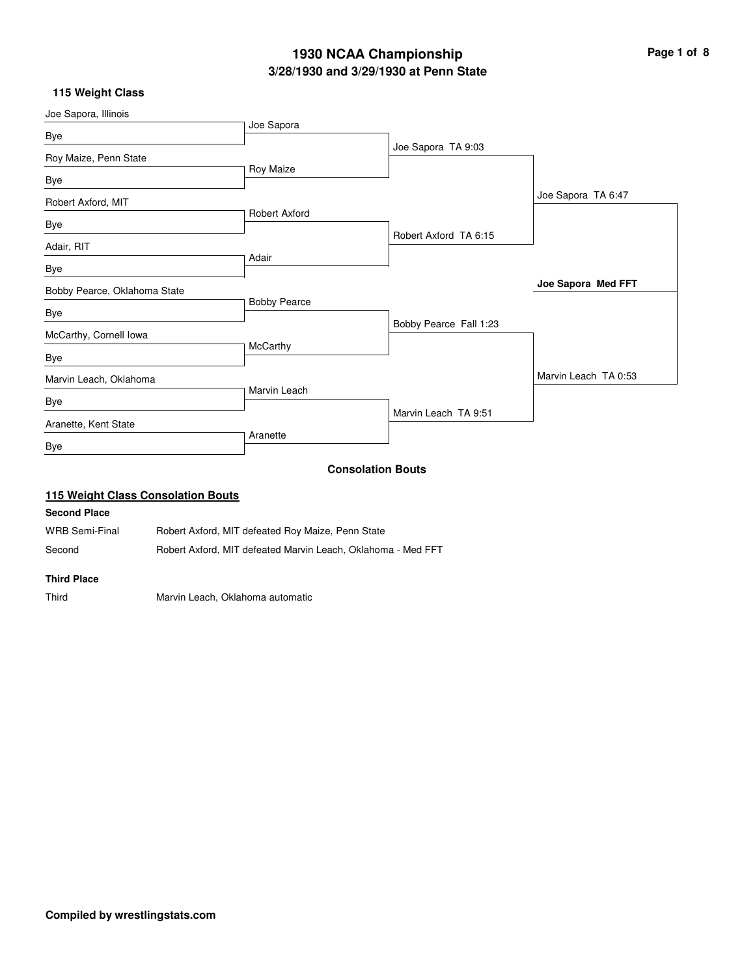# **3/28/1930 and 3/29/1930 at Penn State 1930 NCAA Championship Page 1 of 8**

### **115 Weight Class**

| Joe Sapora, Illinois               |                      |                          |                      |
|------------------------------------|----------------------|--------------------------|----------------------|
| Bye                                | Joe Sapora           |                          |                      |
|                                    |                      | Joe Sapora TA 9:03       |                      |
| Roy Maize, Penn State              | Roy Maize            |                          |                      |
| Bye                                |                      |                          |                      |
| Robert Axford, MIT                 |                      |                          | Joe Sapora TA 6:47   |
|                                    | <b>Robert Axford</b> |                          |                      |
| Bye                                |                      | Robert Axford TA 6:15    |                      |
| Adair, RIT                         |                      |                          |                      |
| Bye                                | Adair                |                          |                      |
|                                    |                      |                          | Joe Sapora Med FFT   |
| Bobby Pearce, Oklahoma State       | <b>Bobby Pearce</b>  |                          |                      |
| Bye                                |                      | Bobby Pearce Fall 1:23   |                      |
| McCarthy, Cornell Iowa             |                      |                          |                      |
| Bye                                | McCarthy             |                          |                      |
|                                    |                      |                          | Marvin Leach TA 0:53 |
| Marvin Leach, Oklahoma             | Marvin Leach         |                          |                      |
| Bye                                |                      |                          |                      |
| Aranette, Kent State               |                      | Marvin Leach TA 9:51     |                      |
|                                    | Aranette             |                          |                      |
| <b>Bye</b>                         |                      |                          |                      |
|                                    |                      | <b>Consolation Bouts</b> |                      |
| 115 Weight Class Consolation Bouts |                      |                          |                      |
| <b>Second Place</b>                |                      |                          |                      |

WRB Semi-Final Robert Axford, MIT defeated Roy Maize, Penn State

Second Robert Axford, MIT defeated Marvin Leach, Oklahoma - Med FFT

#### **Third Place**

Third Marvin Leach, Oklahoma automatic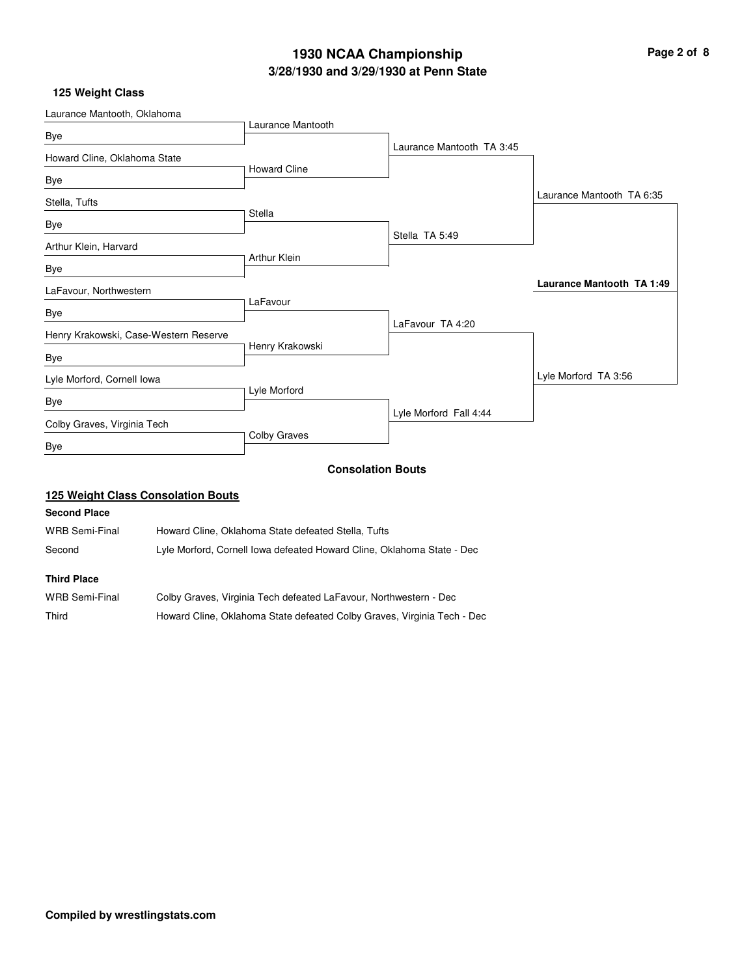# **3/28/1930 and 3/29/1930 at Penn State 1930 NCAA Championship Page 2 of 8**

## **125 Weight Class**

| Laurance Mantooth, Oklahoma           |                     |                           |                                  |
|---------------------------------------|---------------------|---------------------------|----------------------------------|
|                                       | Laurance Mantooth   |                           |                                  |
| Bye                                   |                     | Laurance Mantooth TA 3:45 |                                  |
| Howard Cline, Oklahoma State          |                     |                           |                                  |
| Bye                                   | <b>Howard Cline</b> |                           |                                  |
| Stella, Tufts                         |                     |                           | Laurance Mantooth TA 6:35        |
|                                       | <b>Stella</b>       |                           |                                  |
| Bye                                   |                     | Stella TA 5:49            |                                  |
| Arthur Klein, Harvard                 |                     |                           |                                  |
| Bye                                   | Arthur Klein        |                           |                                  |
| LaFavour, Northwestern                |                     |                           | <b>Laurance Mantooth TA 1:49</b> |
|                                       | LaFavour            |                           |                                  |
| Bye                                   |                     | LaFavour TA 4:20          |                                  |
| Henry Krakowski, Case-Western Reserve |                     |                           |                                  |
| Bye                                   | Henry Krakowski     |                           |                                  |
| Lyle Morford, Cornell Iowa            |                     |                           | Lyle Morford TA 3:56             |
| Bye                                   | Lyle Morford        |                           |                                  |
|                                       |                     | Lyle Morford Fall 4:44    |                                  |
| Colby Graves, Virginia Tech           |                     |                           |                                  |
| Bye                                   | Colby Graves        |                           |                                  |
|                                       |                     | Canaalatian Dauta         |                                  |

#### **Consolation Bouts**

## **125 Weight Class Consolation Bouts**

## **Second Place**

| WRB Semi-Final | Howard Cline, Oklahoma State defeated Stella, Tufts                    |
|----------------|------------------------------------------------------------------------|
| Second         | Lyle Morford, Cornell Iowa defeated Howard Cline, Oklahoma State - Dec |

| WRB Semi-Final | Colby Graves, Virginia Tech defeated LaFavour, Northwestern - Dec       |
|----------------|-------------------------------------------------------------------------|
| Third          | Howard Cline, Oklahoma State defeated Colby Graves, Virginia Tech - Dec |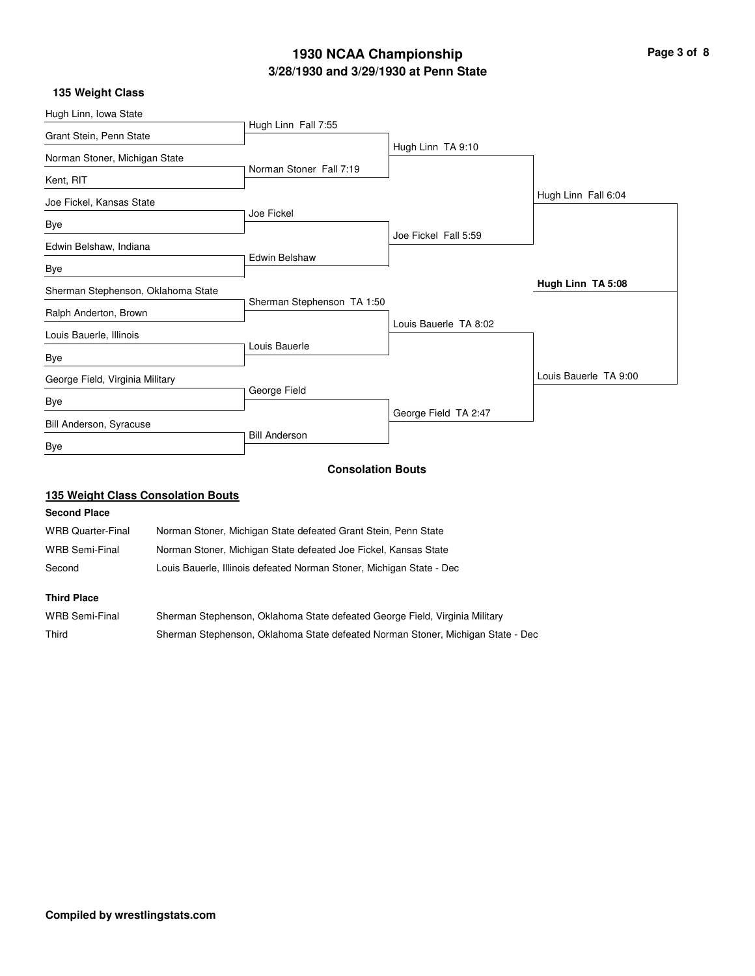# **3/28/1930 and 3/29/1930 at Penn State 1930 NCAA Championship Page 3 of 8**

# **135 Weight Class**

|              | Hugh Linn TA 9:10                                                                                                             |                                                        |
|--------------|-------------------------------------------------------------------------------------------------------------------------------|--------------------------------------------------------|
|              |                                                                                                                               |                                                        |
|              |                                                                                                                               |                                                        |
|              |                                                                                                                               | Hugh Linn Fall 6:04                                    |
|              |                                                                                                                               |                                                        |
|              | Joe Fickel Fall 5:59                                                                                                          |                                                        |
|              |                                                                                                                               |                                                        |
|              |                                                                                                                               |                                                        |
|              |                                                                                                                               | Hugh Linn TA 5:08                                      |
|              |                                                                                                                               |                                                        |
|              | Louis Bauerle TA 8:02                                                                                                         |                                                        |
|              |                                                                                                                               |                                                        |
|              |                                                                                                                               |                                                        |
|              |                                                                                                                               | Louis Bauerle TA 9:00                                  |
| George Field |                                                                                                                               |                                                        |
|              | George Field TA 2:47                                                                                                          |                                                        |
|              |                                                                                                                               |                                                        |
|              |                                                                                                                               |                                                        |
|              |                                                                                                                               |                                                        |
|              | Hugh Linn Fall 7:55<br>Norman Stoner Fall 7:19<br>Joe Fickel<br><b>Edwin Belshaw</b><br>Louis Bauerle<br><b>Bill Anderson</b> | Sherman Stephenson TA 1:50<br><b>Consolation Bouts</b> |

## **135 Weight Class Consolation Bouts**

### **Second Place**

| <b>WRB Quarter-Final</b> | Norman Stoner, Michigan State defeated Grant Stein, Penn State       |
|--------------------------|----------------------------------------------------------------------|
| WRB Semi-Final           | Norman Stoner, Michigan State defeated Joe Fickel, Kansas State      |
| Second                   | Louis Bauerle, Illinois defeated Norman Stoner, Michigan State - Dec |
|                          |                                                                      |

| WRB Semi-Final | Sherman Stephenson, Oklahoma State defeated George Field, Virginia Military     |
|----------------|---------------------------------------------------------------------------------|
| Third          | Sherman Stephenson, Oklahoma State defeated Norman Stoner, Michigan State - Dec |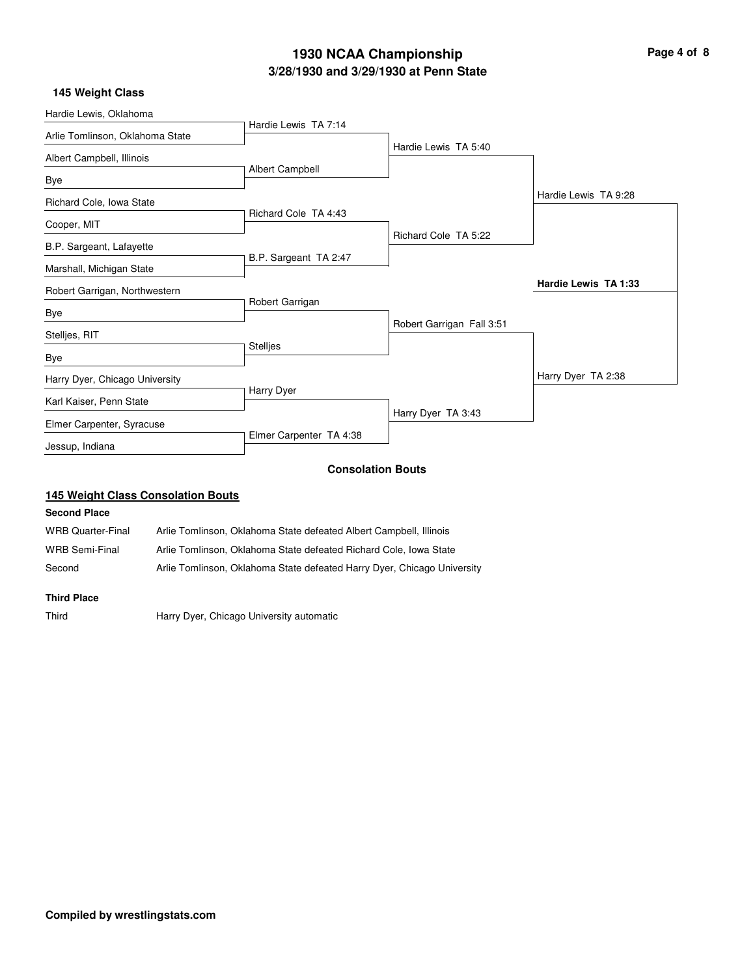# **3/28/1930 and 3/29/1930 at Penn State 1930 NCAA Championship Page 4 of 8**

## **145 Weight Class**

| Hardie Lewis, Oklahoma                  |                         |                           |                      |
|-----------------------------------------|-------------------------|---------------------------|----------------------|
| Arlie Tomlinson, Oklahoma State         | Hardie Lewis TA 7:14    |                           |                      |
|                                         |                         | Hardie Lewis TA 5:40      |                      |
| Albert Campbell, Illinois               |                         |                           |                      |
| Bye                                     | Albert Campbell         |                           |                      |
| Richard Cole, Iowa State                |                         |                           | Hardie Lewis TA 9:28 |
|                                         | Richard Cole TA 4:43    |                           |                      |
| Cooper, MIT<br>B.P. Sargeant, Lafayette |                         | Richard Cole TA 5:22      |                      |
|                                         | B.P. Sargeant TA 2:47   |                           |                      |
| Marshall, Michigan State                |                         |                           |                      |
| Robert Garrigan, Northwestern           |                         |                           | Hardie Lewis TA 1:33 |
| Bye                                     | Robert Garrigan         |                           |                      |
| Stelljes, RIT                           |                         | Robert Garrigan Fall 3:51 |                      |
|                                         | <b>Stellies</b>         |                           |                      |
| Bye                                     |                         |                           |                      |
| Harry Dyer, Chicago University          |                         |                           | Harry Dyer TA 2:38   |
| Karl Kaiser, Penn State                 | Harry Dyer              |                           |                      |
| Elmer Carpenter, Syracuse               |                         | Harry Dyer TA 3:43        |                      |
| Jessup, Indiana                         | Elmer Carpenter TA 4:38 |                           |                      |
|                                         |                         | <b>Consolation Bouts</b>  |                      |

## **145 Weight Class Consolation Bouts**

### **Second Place**

| <b>WRB Quarter-Final</b> | Arlie Tomlinson, Oklahoma State defeated Albert Campbell, Illinois      |
|--------------------------|-------------------------------------------------------------------------|
| <b>WRB Semi-Final</b>    | Arlie Tomlinson. Oklahoma State defeated Richard Cole. Iowa State       |
| Second                   | Arlie Tomlinson, Oklahoma State defeated Harry Dyer, Chicago University |

### **Third Place**

Third Harry Dyer, Chicago University automatic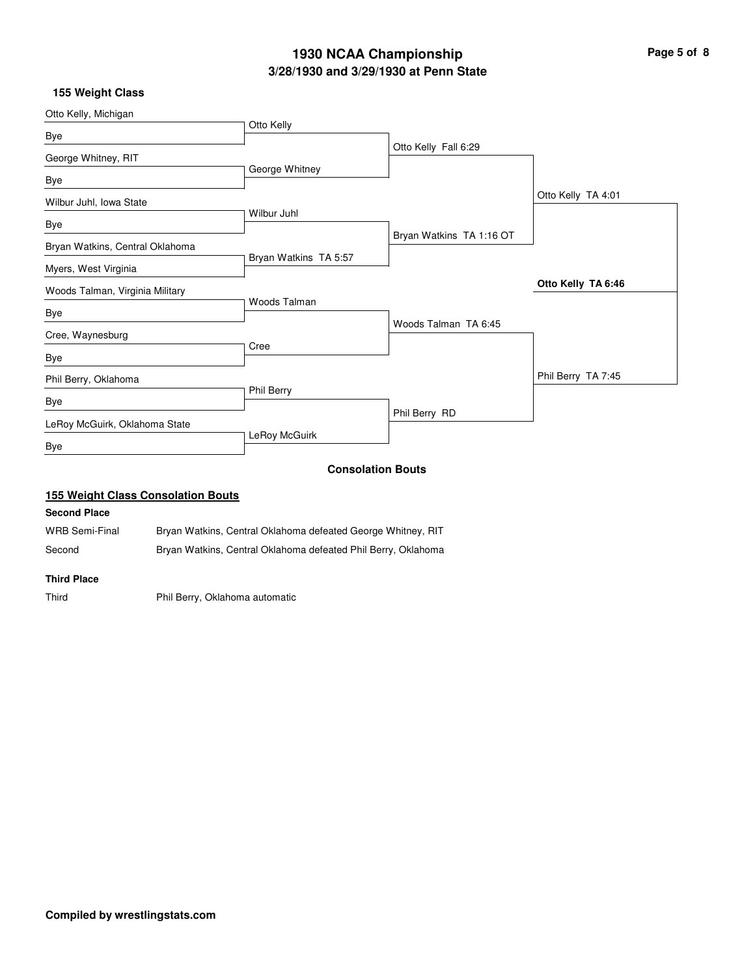# **3/28/1930 and 3/29/1930 at Penn State 1930 NCAA Championship Page 5 of 8**

### **155 Weight Class**

| Otto Kelly, Michigan            |                       |                          |                    |
|---------------------------------|-----------------------|--------------------------|--------------------|
|                                 | Otto Kelly            |                          |                    |
| Bye<br>George Whitney, RIT      |                       | Otto Kelly Fall 6:29     |                    |
| Bye                             | George Whitney        |                          |                    |
| Wilbur Juhl, Iowa State         |                       |                          | Otto Kelly TA 4:01 |
| Bye                             | Wilbur Juhl           |                          |                    |
| Bryan Watkins, Central Oklahoma |                       | Bryan Watkins TA 1:16 OT |                    |
| Myers, West Virginia            | Bryan Watkins TA 5:57 |                          |                    |
| Woods Talman, Virginia Military | Woods Talman          |                          | Otto Kelly TA 6:46 |
| Bye                             |                       |                          |                    |
| Cree, Waynesburg                | Cree                  | Woods Talman TA 6:45     |                    |
| Bye                             |                       |                          |                    |
| Phil Berry, Oklahoma            | Phil Berry            |                          | Phil Berry TA 7:45 |
| Bye                             |                       | Phil Berry RD            |                    |
| LeRoy McGuirk, Oklahoma State   |                       |                          |                    |
| Bye                             | LeRoy McGuirk         |                          |                    |
|                                 |                       | <b>Consolation Bouts</b> |                    |

### **155 Weight Class Consolation Bouts**

### **Second Place**

WRB Semi-Final Bryan Watkins, Central Oklahoma defeated George Whitney, RIT Second Bryan Watkins, Central Oklahoma defeated Phil Berry, Oklahoma

#### **Third Place**

Third Phil Berry, Oklahoma automatic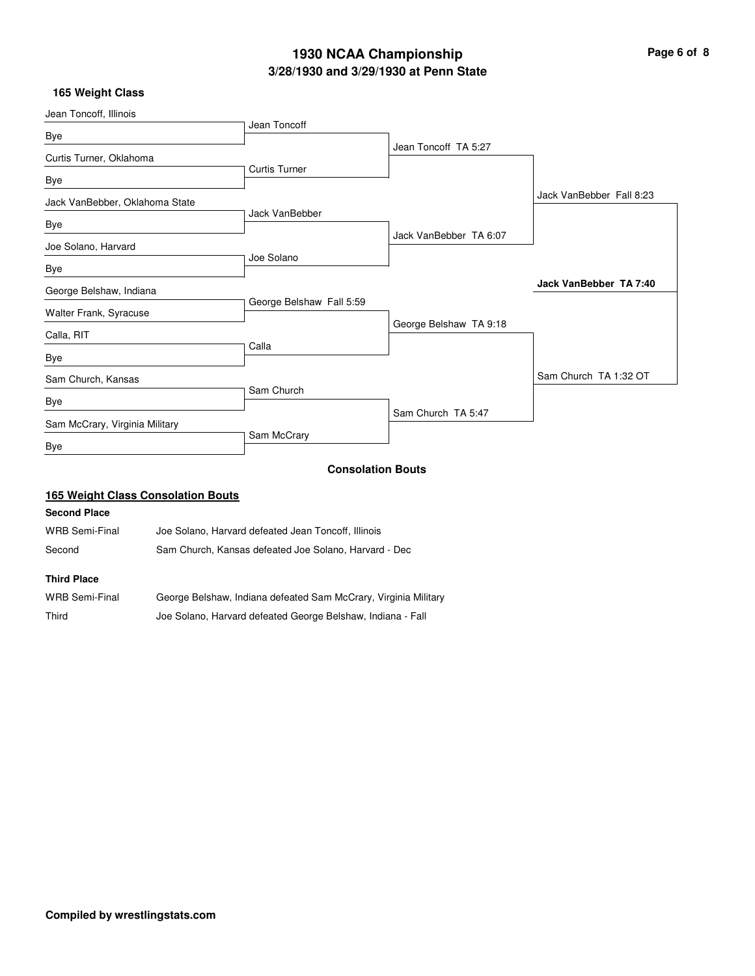# **3/28/1930 and 3/29/1930 at Penn State 1930 NCAA Championship Page 6 of 8**

### **165 Weight Class**

| Jean Toncoff, Illinois         |                          |                        |                          |
|--------------------------------|--------------------------|------------------------|--------------------------|
| Bye                            | Jean Toncoff             |                        |                          |
|                                |                          | Jean Toncoff TA 5:27   |                          |
| Curtis Turner, Oklahoma        | <b>Curtis Turner</b>     |                        |                          |
| Bye                            |                          |                        |                          |
| Jack VanBebber, Oklahoma State |                          |                        | Jack VanBebber Fall 8:23 |
|                                | Jack VanBebber           |                        |                          |
| Bye                            |                          | Jack VanBebber TA 6:07 |                          |
| Joe Solano, Harvard            | Joe Solano               |                        |                          |
| Bye                            |                          |                        |                          |
| George Belshaw, Indiana        |                          |                        | Jack VanBebber TA 7:40   |
| Walter Frank, Syracuse         | George Belshaw Fall 5:59 |                        |                          |
|                                |                          | George Belshaw TA 9:18 |                          |
| Calla, RIT                     |                          |                        |                          |
| Bye                            | Calla                    |                        |                          |
| Sam Church, Kansas             |                          |                        | Sam Church TA 1:32 OT    |
|                                | Sam Church               |                        |                          |
| Bye                            |                          | Sam Church TA 5:47     |                          |
| Sam McCrary, Virginia Military |                          |                        |                          |
| Bye                            | Sam McCrary              |                        |                          |
|                                | <b>Consolation Bouts</b> |                        |                          |

## **165 Weight Class Consolation Bouts**

### **Second Place**

WRB Semi-Final Joe Solano, Harvard defeated Jean Toncoff, Illinois Second Sam Church, Kansas defeated Joe Solano, Harvard - Dec

| <b>WRB Semi-Final</b> | George Belshaw, Indiana defeated Sam McCrary, Virginia Military |
|-----------------------|-----------------------------------------------------------------|
| Third                 | Joe Solano, Harvard defeated George Belshaw, Indiana - Fall     |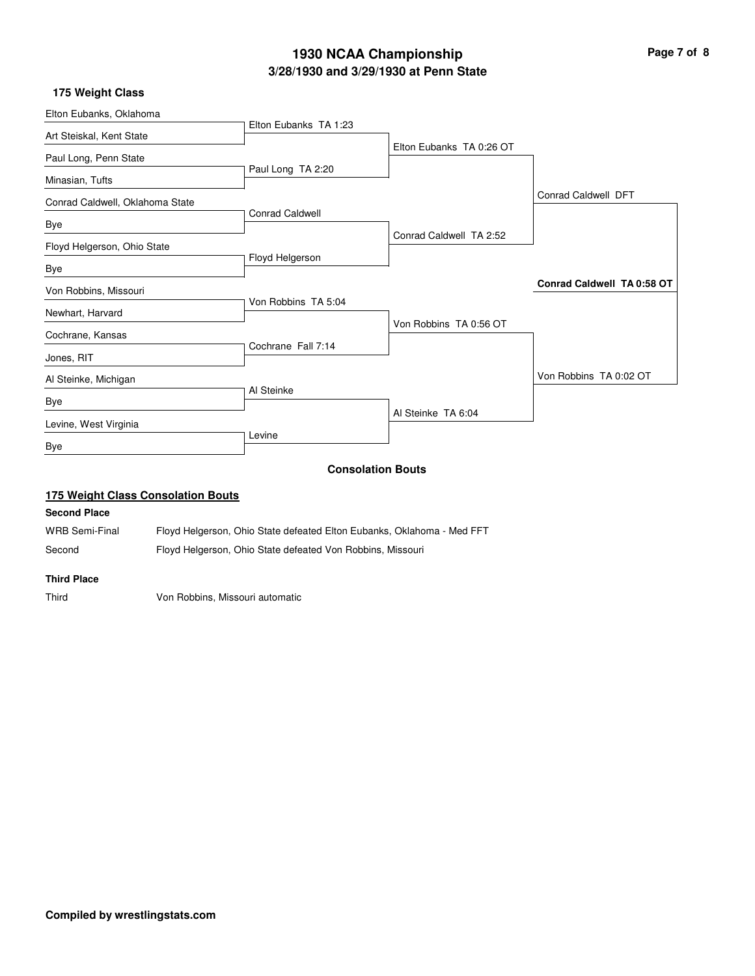# **3/28/1930 and 3/29/1930 at Penn State 1930 NCAA Championship Page 7 of 8**

### **175 Weight Class**

| Elton Eubanks, Oklahoma                   |                        |                          |                            |
|-------------------------------------------|------------------------|--------------------------|----------------------------|
| Art Steiskal, Kent State                  | Elton Eubanks TA 1:23  |                          |                            |
| Paul Long, Penn State                     |                        | Elton Eubanks TA 0:26 OT |                            |
| Minasian, Tufts                           | Paul Long TA 2:20      |                          |                            |
| Conrad Caldwell, Oklahoma State           |                        |                          | Conrad Caldwell DFT        |
| Bye                                       | <b>Conrad Caldwell</b> |                          |                            |
| Floyd Helgerson, Ohio State               |                        | Conrad Caldwell TA 2:52  |                            |
| Bye                                       | Floyd Helgerson        |                          |                            |
| Von Robbins, Missouri                     |                        |                          | Conrad Caldwell TA 0:58 OT |
| Newhart, Harvard                          | Von Robbins TA 5:04    |                          |                            |
| Cochrane, Kansas                          |                        | Von Robbins TA 0:56 OT   |                            |
| Jones, RIT                                | Cochrane Fall 7:14     |                          |                            |
| Al Steinke, Michigan                      |                        |                          | Von Robbins TA 0:02 OT     |
| <b>Bye</b>                                | Al Steinke             |                          |                            |
| Levine, West Virginia                     |                        | Al Steinke TA 6:04       |                            |
| Bye                                       | Levine                 |                          |                            |
|                                           |                        | <b>Consolation Bouts</b> |                            |
| <b>175 Weight Class Consolation Bouts</b> |                        |                          |                            |
| <b>Second Place</b>                       |                        |                          |                            |
|                                           |                        |                          |                            |

WRB Semi-Final Floyd Helgerson, Ohio State defeated Elton Eubanks, Oklahoma - Med FFT Second Floyd Helgerson, Ohio State defeated Von Robbins, Missouri

#### **Third Place**

Third Von Robbins, Missouri automatic